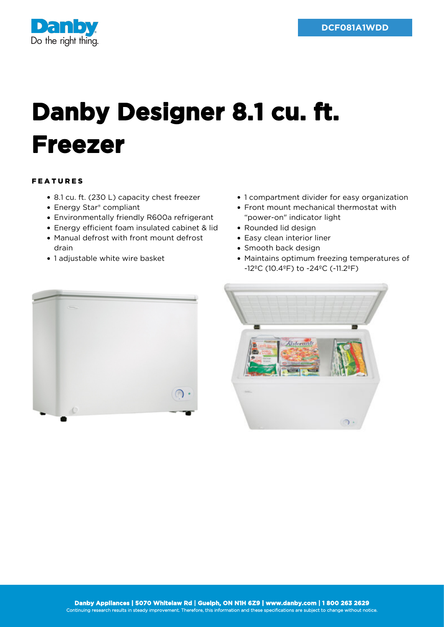

## **Danby Designer 8.1 cu. ft. Freezer**

## FEATURES

- 8.1 cu. ft. (230 L) capacity chest freezer
- Energy Star® compliant
- Environmentally friendly R600a refrigerant
- Energy efficient foam insulated cabinet & lid
- Manual defrost with front mount defrost drain
- 1 adjustable white wire basket
- 1 compartment divider for easy organization
- Front mount mechanical thermostat with "power-on" indicator light
- Rounded lid design
- Easy clean interior liner
- Smooth back design
- Maintains optimum freezing temperatures of -12ºC (10.4ºF) to -24ºC (-11.2ºF)